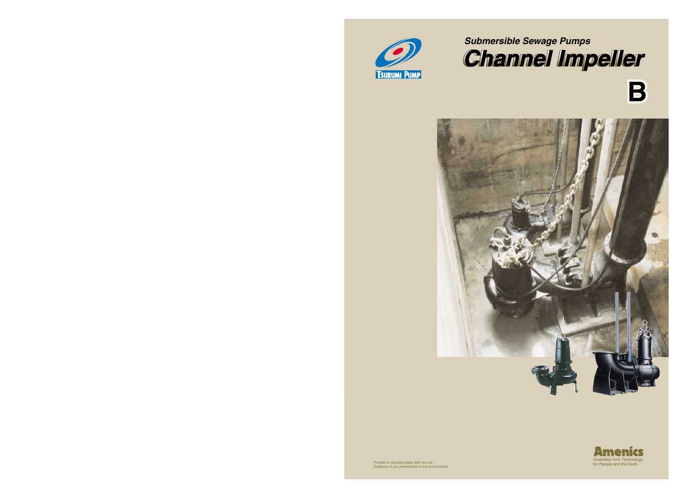







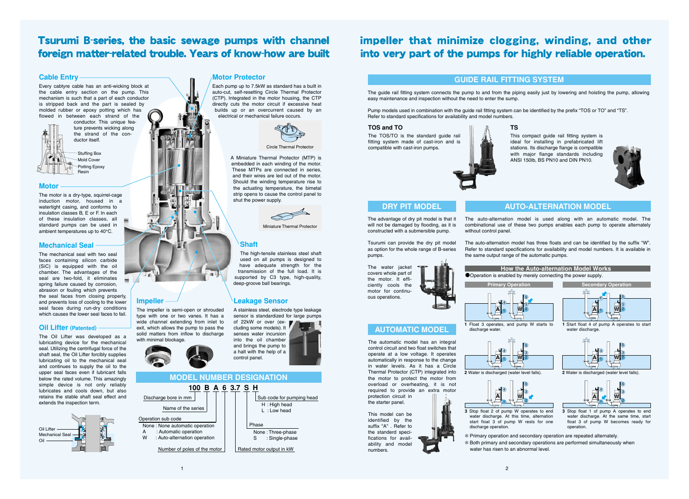## **AUTO-ALTERNATION MODEL**

## **MODEL NUMBER DESIGNATION**

## **DRY PIT MODEL**

**AUTOMATIC MODEL**

4  $\mathbf{A}$  1

## **GUIDE RAIL FITTING SYSTEM**





✻ Primary operation and secondary operation are repeated alternately. ✻ Both primary and secondary operations are performed simultaneously when water has risen to an abnormal level.

The impeller is semi-open or shrouded type with one or two vanes. It has a wide channel extending from inlet to exit, which allows the pump to pass the solid matters from inflow to discharge



Circle Thermal Protector

Stuffing Box



Potting Epoxy Resin

> The auto-alternation model is used along with an automatic model. The combinational use of these two pumps enables each pump to operate alternately without control panel.

> The auto-alternation model has three floats and can be identified by the suffix "W". Refer to standard specifications for availability and model numbers. It is available in the same output range of the automatic pumps.

## **Oil Lifter (Patented)**

A stainless steel, electrode type leakage sensor is standardized for large pumps of 22kW or over (ex-

The Oil Lifter was developed as a lubricating device for the mechanical seal. Utilizing the centrifugal force of the shaft seal, the Oil Lifter forcibly supplies lubricating oil to the mechanical seal and continues to supply the oil to the upper seal faces even if lubricant falls below the rated volume. This amazingly simple device is not only reliably lubricates and cools down, but also retains the stable shaft seal effect and extends the inspection term.

**Impeller**

with minimal blockage.



## impeller that minimize clogging, winding, and other into very part of the pumps for highly reliable operation.

## **Tsurumi B-series, the basic sewage pumps with channel** foreign matter-related trouble. Years of know-how are built

## **Cable Entry**

Every cabtyre cable has an anti-wicking block at the cable entry section on the pump. This mechanism is such that a part of each conductor is stripped back and the part is sealed by molded rubber or epoxy potting which has flowed in between each strand of the

conductor. This unique feature prevents wicking along the strand of the conductor itself.

## **Motor**

The motor is a dry-type, squirrel-cage induction motor, housed in a watertight casing, and conforms to insulation classes B, E or F. In each of these insulation classes, all standard pumps can be used in ambient temperatures up to 40°C.

## **Shaft**

The high-tensile stainless steel shaft used on all pumps is designed to have adequate strength for the transmission of the full load. It is supported by C3 type, high-quality, deep-groove ball bearings.

## **Leakage Sensor**

cluding some models). It senses water incursion into the oil chamber and brings the pump to a halt with the help of a control panel.

## **Mechanical Seal**

The mechanical seal with two seal faces containing silicon carbide (SiC) is equipped with the oil chamber. The advantages of the seal are two-fold, it eliminates spring failure caused by corrosion, abrasion or fouling which prevents the seal faces from closing properly, and prevents loss of cooling to the lower seal faces during run-dry conditions which causes the lower seal faces to fail.

## **Motor Protector**

Each pump up to 7.5kW as standard has a built in auto-cut, self-resetting Circle Thermal Protector (CTP). Integrated in the motor housing, the CTP directly cuts the motor circuit if excessive heat builds up or an overcurrent caused by an electrical or mechanical failure occurs.



A Miniature Thermal Protector (MTP) is embedded in each winding of the motor. These MTPs are connected in series, and their wires are led out of the motor. Should the winding temperature rise to the actuating temperature, the bimetal strip opens to cause the control panel to shut the power supply.



**Miniature Thermal Protector** 

The automatic model has an integral control circuit and two float switches that operate at a low voltage. It operates automatically in response to the change in water levels. As it has a Circle Thermal Protector (CTP) integrated into the motor to protect the motor from overload or overheating, it is not required to provide an extra motor

protection circuit in the starter panel.

This model can be identified by the suffix "A" . Refer to the standerd specifications for availability and model

numbers.

## $\mathbf{A}$  1

The advantage of dry pit model is that it will not be damaged by flooding, as it is constructed with a submersible pump.

Tsurumi can provide the dry pit model as option for the whole range of B-series pumps.

The water jacket covers whole part of the motor. It efficiently cools the motor for continuous operations.

The guide rail fitting system connects the pump to and from the piping easily just by lowering and hoisting the pump, allowing easy maintenance and inspection without the need to enter the sump.

Pump models used in combination with the guide rail fitting system can be identified by the prefix "TOS or TO" and "TS". Refer to standard specifications for availability and model numbers.

## **TOS and TO**

The TOS/TO is the standard guide rail fitting system made of cast-iron and is compatible with cast-iron pumps.



## **TS**

This compact guide rail fitting system is ideal for installing in prefabricated lift stations. Its discharge flange is compatible with major flange standards including ANSI 150lb, BS PN10 and DIN PN10.

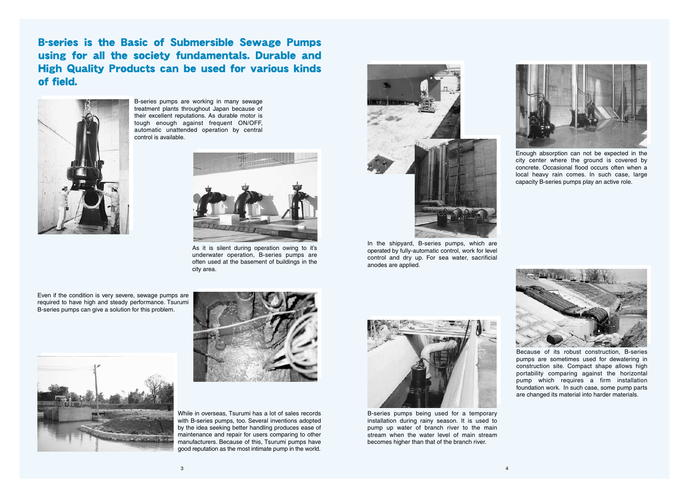Enough absorption can not be expected in the city center where the ground is covered by concrete. Occasional flood occurs often when a local heavy rain comes. In such case, large capacity B-series pumps play an active role.



Because of its robust construction, B-series pumps are sometimes used for dewatering in construction site. Compact shape allows high portability comparing against the horizontal pump which requires a firm installation foundation work. In such case, some pump parts are changed its material into harder materials.



B-series pumps being used for a temporary installation during rainy season. It is used to pump up water of branch river to the main stream when the water level of main stream becomes higher than that of the branch river.





In the shipyard, B-series pumps, which are operated by fully-automatic control, work for level control and dry up. For sea water, sacrificial anodes are applied.



As it is silent during operation owing to it's underwater operation, B-series pumps are often used at the basement of buildings in the city area.

**B-series is the Basic of Submersible Sewage Pumps** using for all the society fundamentals. Durable and **High Quality Products can be used for various kinds** of field.



B-series pumps are working in many sewage treatment plants throughout Japan because of their excellent reputations. As durable motor is tough enough against frequent ON/OFF, automatic unattended operation by central control is available.

Even if the condition is very severe, sewage pumps are required to have high and steady performance. Tsurumi B-series pumps can give a solution for this problem.





While in overseas, Tsurumi has a lot of sales records with B-series pumps, too. Several inventions adopted by the idea seeking better handling produces ease of maintenance and repair for users comparing to other manufacturers. Because of this, Tsurumi pumps have good reputation as the most intimate pump in the world.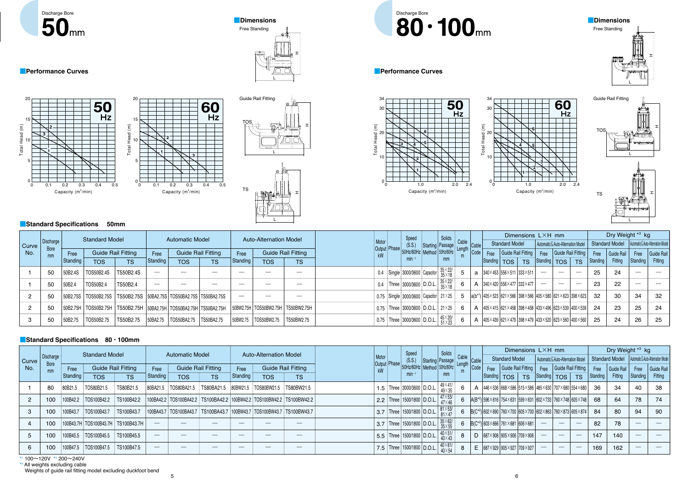|              |                   |          | <b>Standard Model</b> |                           |                          | <b>Automatic Model</b>                                                       |                   |                          | <b>Auto-Alternation Model</b> |                               |                                         | Speed                                                | Solids                    |   |              |                                                                                                                          | Dimensions LXH mm  |                                                        |                                    |           |          | Dry Weight *3 kg |          |                                                     |
|--------------|-------------------|----------|-----------------------|---------------------------|--------------------------|------------------------------------------------------------------------------|-------------------|--------------------------|-------------------------------|-------------------------------|-----------------------------------------|------------------------------------------------------|---------------------------|---|--------------|--------------------------------------------------------------------------------------------------------------------------|--------------------|--------------------------------------------------------|------------------------------------|-----------|----------|------------------|----------|-----------------------------------------------------|
| <b>Curve</b> | Discharge         |          |                       |                           |                          |                                                                              |                   |                          |                               |                               |                                         |                                                      | $(S.S.)$ Starting Passage |   | <b>Cable</b> | <b>Standard Model</b>                                                                                                    |                    |                                                        | Automatic & Auto-Alternation Model |           |          |                  |          | Standard Model   Automatic & Auto-Alternation Model |
| No.          | <b>Bore</b><br>mm | Free     |                       | <b>Guide Rail Fitting</b> | Free                     | <b>Guide Rail Fitting</b>                                                    |                   | Free                     |                               | <b>Guide Rail Fitting</b>     | Output Phase 50Hz/60Hz Method 50Hz/60Hz |                                                      |                           |   | Code         | Free                                                                                                                     | Guide Rail Fitting |                                                        | Free Guide Rail Fitting            |           | Free     | Guide Rail       | Free     | Guide Rail                                          |
|              |                   | Standing | <b>TOS</b>            | <b>TS</b>                 | Standing                 | <b>TOS</b>                                                                   | <b>TS</b>         | Standing                 | <b>TOS</b>                    | <b>TS</b>                     |                                         | $min-1$                                              |                           |   |              | Standing   TOS                                                                                                           | TS                 | $\sqrt{\frac{3}{100}}$ Standing $\sqrt{\frac{1}{100}}$ |                                    | <b>TS</b> | Standing | Fitting          | Standing | Fitting                                             |
|              | 50                | 50B2.4S  | TOS50B2.4S            | TS50B2.4S                 | $\overline{\phantom{a}}$ |                                                                              | $\hspace{0.05cm}$ | $\overline{\phantom{m}}$ |                               | $\hspace{0.05cm}$             |                                         | 0.4 Single 3000/3600 Capacitor $35\times22/$         |                           |   |              | a   $340 \times 453$   $556 \times 511$   $333 \times 511$                                                               |                    |                                                        | $\hspace{0.05cm}$                  |           | 25       | 24               |          |                                                     |
|              | 50                | 50B2.    | TOS50B2.              | TS50B2.4                  | $\hspace{0.05cm}$        |                                                                              |                   |                          |                               | $\overbrace{\phantom{12333}}$ | 0.4                                     | Three 3000/3600 D.O.L.                               | $35\times22/35$           |   |              | $\mathbf{A}$   340 × 420   556 × 477   333 × 477                                                                         |                    |                                                        |                                    |           | 23       | 22               |          |                                                     |
|              | 50                |          |                       |                           |                          | 50B2.75S   TOS50B2.75S   TS50B2.75S   50BA2.75S   TOS50BA2.75S   TS50BA2.75S |                   |                          |                               |                               |                                         | 0.75   Single 3000/3600   Capacitor   21 $\times$ 25 |                           |   |              | $5$  a(b <sup>*1</sup> ) 405×523 621×566 398×566 405×580 621×623 398×623  32                                             |                    |                                                        |                                    |           |          | 30               | 34       | 32                                                  |
|              | 50                | 50B2.75H |                       |                           |                          |                                                                              |                   |                          | 50BW2.75H   TOS50BW2.75H      | TS50BW2.75H                   |                                         | 0.75   Three   3000/3600   D.O.L.   21×25            |                           | 6 |              | $\mathsf{A}$  405 $\times$ 415  621 $\times$ 458  398 $\times$ 458  433 $\times$ 496  623 $\times$ 539  400 $\times$ 539 |                    |                                                        |                                    |           | -24      | 23               | 25       | 24                                                  |
|              | 50                | 50B2.75  | TOS50B2.75            | TS50B2.75                 | 50BA2.75                 | TOS50BA2.75                                                                  | <b>TS50BA2.75</b> | 50BW2.75                 | TOS50BW2.75                   | TS50BW2.75                    |                                         | $\vert$ 0.75   Three   3000/3600   D.O.L.            | $45\times20/51\times23$   |   |              | A $ 405\times439 621\times479 398\times479 433\times520 623\times560 400\times560 $                                      |                    |                                                        |                                    |           | 25       | 24               | 26       | -25                                                 |



# Discharge Bore<br>**80 · 100**<sub>mm</sub>

rmance Curves<br>
The Serves<br>
The Serves<br>
The Serves<br>
The Serves<br>
The Serves<br>
The Serves<br>
The Serves<br>
The Serves<br>
The Serves<br>
The Serves<br>
The Serves<br>
The Serves<br>
The Serves<br>
The Serves<br>
The Serves<br>
The Serves<br>
The Serves<br>
The

**Performance Curves** 

Discharge Bore<br>50mm



■**Performance Curves**

## ■**Dimensions**









34



## 20 10 0



## ■**Standard Specifications 50mm**



L

|       |                   |          | <b>Standard Model</b>                  |                           |                                  | <b>Automatic Model</b> |                                                                                 |                          | <b>Auto-Alternation Model</b> |                           |                | Speed                            | Solids                            |       |           |      |                                               |           | Dimensions LXH mm                  |                    |                                                                                                                                 |          | Dry Weight *3 kg |          |                                    |
|-------|-------------------|----------|----------------------------------------|---------------------------|----------------------------------|------------------------|---------------------------------------------------------------------------------|--------------------------|-------------------------------|---------------------------|----------------|----------------------------------|-----------------------------------|-------|-----------|------|-----------------------------------------------|-----------|------------------------------------|--------------------|---------------------------------------------------------------------------------------------------------------------------------|----------|------------------|----------|------------------------------------|
| Curve | Discharge         |          |                                        |                           |                                  |                        |                                                                                 |                          |                               |                           |                | (S.S.)                           | Starting Passage                  | Cable | $ $ Cable |      | <b>Standard Model</b>                         |           | Automatic & Auto-Alternation Model |                    |                                                                                                                                 |          | Standard Model   |          | Automatic & Auto-Alternation Model |
| No.   | <b>Bore</b><br>mm | Free     |                                        | <b>Guide Rail Fitting</b> | Free                             |                        | <b>Guide Rail Fitting</b>                                                       | Free                     |                               | <b>Guide Rail Fitting</b> | Output   Phase | 50Hz/60Hz   Method   50Hz/60Hz   |                                   |       | Code      | Free | Guide Rail Fitting                            |           | Free                               | Guide Rail Fitting |                                                                                                                                 | Free     | Guide Rail       | Free     | Guide Rail                         |
|       |                   | Standing | <b>TOS</b>                             | <b>TS</b>                 | Standing                         | <b>TOS</b>             | <b>TS</b>                                                                       | Standing                 | <b>TOS</b>                    | <b>TS</b>                 |                | $min^{-1}$                       | mm                                |       |           |      | Standing   TOS                                | <b>TS</b> | Standing   TOS                     |                    | <b>TS</b>                                                                                                                       | Standing | Fitting          | Standing | Fitting                            |
|       | 80                | 80B21.5  | TOS80B21.5                             | TS80B21.5                 | 80BA21.5                         | TOS80BA21.5            |                                                                                 |                          |                               | TS80BW21.5                |                | 1.5   Three   3000/3600   D.O.L. | 49×41/<br>49×35                   |       |           |      |                                               |           |                                    |                    | A $ 446\times536 668\times586 515\times586 485\times630 707\times680 554\times680 $                                             | 36       | 34               | 40       | 38                                 |
|       | 100               | 100B42.2 | TOS100B42.2                            | TS100B42.2                |                                  |                        | 100BA42.2   TOS100BA42.2   TS100BA42.2   100BW42.2   TOS100BW42.2   TS100BW42.2 |                          |                               |                           |                | 2.2   Three   1500/1800   D.O.L. | $47\times53/47$                   |       |           |      |                                               |           |                                    |                    | 6 $ A(B^{*2}) $ 596 $\times$ 616   754 $\times$ 631   599 $\times$ 631   602 $\times$ 733   760 $\times$ 748   605 $\times$ 748 | 68       | 64               | 78       | 74                                 |
|       | 100               | 100B43.7 | TOS100B43.7                            | TS100B43.7                |                                  |                        | 100BA43.7   TOS100BA43.7   TS100BA43.7   100BW43.7   TOS100BW43.7   TS100BW43.7 |                          |                               |                           |                | 3.7 Three   1500/1800   D.O.L.   | $81 \times 53/$<br>$81 \times 47$ |       |           |      |                                               |           |                                    |                    | 6   $B(C^{*2})$   602×690   760×700   605×700   602×863   760×873   605×874                                                     | -84      | 80               | 94       | 90                                 |
|       | 100               |          | 100B43.7H   TOS100B43.7H   TS100B43.7H |                           |                                  |                        |                                                                                 |                          |                               |                           |                | 3.7 Three   1500/1800   D.O.L.   | $35\times62/35\times55$           |       |           |      | 6   $B(C^{*2})$   603×666   761×681   606×681 |           |                                    |                    | $\hspace{0.05cm}$                                                                                                               | 82       | 78               |          |                                    |
|       | 100               | 100B45.5 | TOS100B45.5                            | TS100B45.5                | $\overbrace{\phantom{aaaaa}}^{}$ |                        |                                                                                 |                          |                               |                           |                | 5.5   Three   1500/1800   D.O.L. | $40\times51/40\times43$           |       |           |      | $\text{D}$  687×908  905×906  709×906         |           |                                    |                    |                                                                                                                                 | 147      | 140              |          |                                    |
|       | 100               | 100B47.5 | TOS100B47.5                            | TS100B47.5                | $\overline{\phantom{a}}$         |                        |                                                                                 | $\overline{\phantom{a}}$ | $\sim$                        |                           |                | 7.5   Three   1500/1800   D.O.L. | $40\times61/40\times54$           |       | E.        |      | $ 687\times929 905\times927 709\times927 $    |           | $\hspace{0.05cm}$                  | $\hspace{0.05cm}$  | $\hspace{0.1mm}-\hspace{0.1mm}$                                                                                                 | 169      | 162              |          |                                    |

\* 1 100〜120V \* 2 200〜240V

\* 3 All weights excluding cable Weights of guide rail fitting model excluding duckfoot bend

## ■**Standard Specifications 80**・**100mm**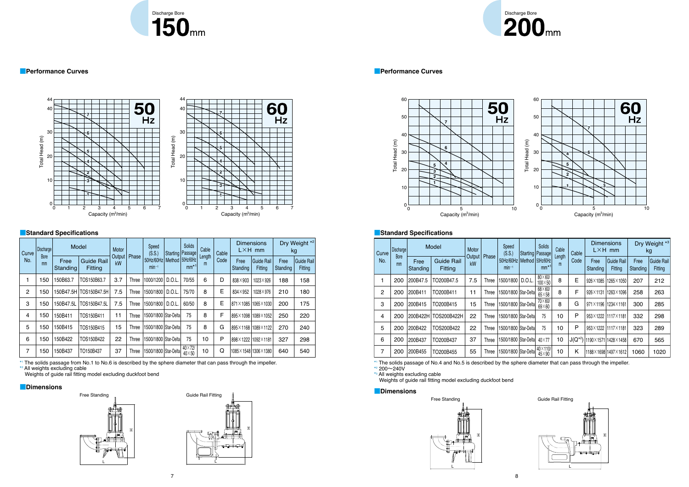



| Curve | Discharge  |                  | Model                               | Motor          |       | Speed<br>(S.S.)         |        | Solids<br>Starting   Passage | Cable       | Cable |                  | <b>Dimensions</b><br>$L \times H$ mm |                  | Dry Weight *2<br>kg                 |
|-------|------------|------------------|-------------------------------------|----------------|-------|-------------------------|--------|------------------------------|-------------|-------|------------------|--------------------------------------|------------------|-------------------------------------|
| No.   | Bore<br>mm | Free<br>Standing | <b>Guide Rail</b><br><b>Fitting</b> | Output  <br>kW | Phase | 50Hz/60Hz<br>$min^{-1}$ | Method | 50Hz/60Hz<br>$mm*1$          | Length<br>m | Code  | Free<br>Standing | <b>Guide Rail</b><br>Fitting         | Free<br>Standing | <b>Guide Rail</b><br><b>Fitting</b> |
| 1     | 150        | 150B63.7         | TOS150B63.7                         | 3.7            | Three | 1000/1200               | D.O.L. | 70/55                        | 6           | D     | 838×903          | 1023×926                             | 188              | 158                                 |
| 2     | 150        | 150B47.5H        | TOS150B47.5H                        | 7.5            | Three | 1500/1800               | D.O.L. | 75/70                        | 8           | E     | 834×952          | 1028×976                             | 210              | 180                                 |
| 3     | 150        | 150B47.5L        | TOS150B47.5L                        | 7.5            | Three | 1500/1800               | D.O.L. | 60/50                        | 8           | E     |                  | 871×1085 1065×1030                   | 200              | 175                                 |
| 4     | 150        | 150B411          | TOS150B411                          | 11             | Three | 1500/1800 Star-Delta    |        | 75                           | 8           | F     |                  | 895×1098 1089×1052                   | 250              | 220                                 |
| 5     | 150        | 150B415          | TOS150B415                          | 15             | Three | 1500/1800 Star-Delta    |        | 75                           | 8           | G     |                  | 895×1168 1089×1122                   | 270              | 240                                 |
| 6     | 150        | 150B422          | TOS150B422                          | 22             | Three | 1500/1800 Star-Delta    |        | 75                           | 10          | P     |                  | 898×1222 1092×1181                   | 327              | 298                                 |
| 7     | 150        | 150B437          | TO150B437                           | 37             | Three | 1500/1800   Star-Delta  |        | 40×72/<br>$40\times50$       | 10          | Q     |                  | 1085×1548 1306×1380                  | 640              | 540                                 |

| Curve | Discharge         |                  | Model                        | Motor        |              | Speed<br>(S.S.)         |       | <b>Solids</b><br>Starting   Passage | Cable       | Cable         |                     | <b>Dimensions</b><br>$L \times H$ mm |                  | Dry Weight *3<br>kg   |
|-------|-------------------|------------------|------------------------------|--------------|--------------|-------------------------|-------|-------------------------------------|-------------|---------------|---------------------|--------------------------------------|------------------|-----------------------|
| No.   | <b>Bore</b><br>mm | Free<br>Standing | <b>Guide Rail</b><br>Fitting | Output<br>kW | Phase        | 50Hz/60Hz<br>$min-1$    |       | Method 50Hz/60Hz<br>$mm*1$          | Length<br>m | Code          | Free<br>Standing    | <b>Guide Rail</b><br>Fitting         | Free<br>Standing | Guide Rail<br>Fitting |
|       | 200               | 200B47.5         | TO200B47.5                   | 7.5          | <b>Three</b> | 1500/1800               | D.O.L | $80\times 60/$<br>$100\times50$     | 8           | E             | 926×1085            | 1265×1050                            | 207              | 212                   |
| 2     | 200               | 200B411          | TO200B411                    | 11           | Three        | 1500/1800 Star-Delta    |       | $68\times60/$<br>$65\times58$       | 8           | F             | 926×1131            | 1263×1096                            | 258              | 263                   |
| 3     | 200               | 200B415          | TO200B415                    | 15           | Three        | 1500/1800 Star-Delta    |       | $70\times 60/$<br>$69\times 60$     | 8           | G             |                     | 971×1196 1234×1161                   | 300              | 285                   |
| 4     | 200               | 200B422H         | TOS200B422H                  | 22           | Three        | l 500/1800   Star-Delta |       | 75                                  | 10          | P             |                     | 953×1222 1117×1181                   | 332              | 298                   |
| 5     | 200               | 200B422          | TOS200B422                   | 22           | Three        | 1500/1800   Star-Delta  |       | 75                                  | 10          | P             |                     | 953×1222 1117×1181                   | 323              | 289                   |
| 6     | 200               | 200B437          | TO200B437                    | 37           | Three        | 1500/1800   Star-Delta  |       | 40×77                               | 10          | $ J(Q^{*2}) $ | 1190×1571 1428×1458 |                                      | 670              | 565                   |
| 7     | 200               | 200B455          | TO200B455                    | 55           | Three        | 1500/1800   Star-Delta  |       | 40×110/<br>$45\times90$             | 10          | Κ             |                     | 188×1698 1497×1612                   | 1060             | 1020                  |









## Discharge Bore<br>**200** mm









## ■**Standard Specifications** ■**Standard Specifications**

\* 1 The solids passage of No.4 and No.5 is described by the sphere diameter that can pass through the impeller. \* 2 200〜240V

\* 3 All weights excluding cable

Weights of guide rail fitting model excluding duckfoot bend

\* 1 The solids passage from No.1 to No.6 is described by the sphere diameter that can pass through the impeller.

\* 2 All weights excluding cable

Weights of guide rail fitting model excluding duckfoot bend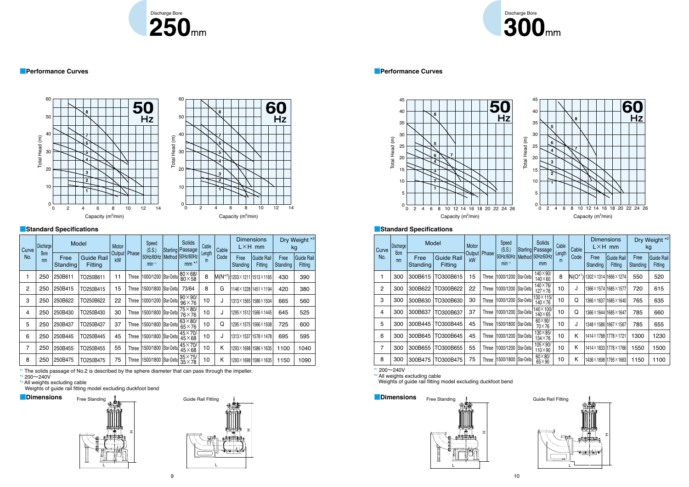

## ■ Performance Curves ■ Performance Curves ■ Performance Curves ■ Performance Curves



| Curve | <b>Discharge</b>  | Model            |                                     | Motor        |       | Speed<br>(S.S.)         | <b>Solids</b><br>Starting Passage | Cable       | Cable |                                     | <b>Dimensions</b><br>$L \times H$ mm | kg               | Dry Weight <sup>*2</sup>     |
|-------|-------------------|------------------|-------------------------------------|--------------|-------|-------------------------|-----------------------------------|-------------|-------|-------------------------------------|--------------------------------------|------------------|------------------------------|
| No.   | <b>Bore</b><br>mm | Free<br>Standing | <b>Guide Rail</b><br><b>Fitting</b> | Output<br>kW | Phase | 50Hz/60Hz<br>$min^{-1}$ | Method 50Hz/60Hz<br>mm            | Length<br>m | Code  | Free<br>Standing                    | Guide Rail<br>Fitting                | Free<br>Standing | <b>Guide Rail</b><br>Fitting |
| 1     | 300               | 300B615          | TO300B615                           | 15           | Three | 1000/1200   Star-Delta  | 140×90/<br>$140\times60$          | 8           |       | $N(O^{*1})$ 1302 × 1314 1666 × 1274 |                                      | 550              | 520                          |
| 2     | 300               | 300B622          | TO300B622                           | 22           | Three | 1000/1200   Star-Delta  | 140×76/<br>$127\times76$          | 10          | J     | 1366 × 1574 1685 × 1577             |                                      | 720              | 615                          |
| 3     | 300               | 300B630          | TO300B630                           | 30           | Three | 1000/1200   Star-Delta  | 130×115/<br>$140\times76$         | 10          | Q     |                                     | 1366×163711685×1640                  | 765              | 635                          |
| 4     | 300               | 300B637          | TO300B637                           | 37           | Three | 1000/1200   Star-Delta  | 140×100/<br>$140\times 65$        | 10          | Q     |                                     | 1366×1644 1685×1647                  | 785              | 660                          |
| 5     | 300               | 300B445          | TO300B445                           | 45           | Three | 1500/1800   Star-Delta  | $60 \times 90$<br>70×76           | 10          | J     | 1348 × 1586 1667 × 1567             |                                      | 785              | 655                          |
| 6     | 300               | 300B645          | TO300B645                           | 45           | Three | 1000/1200   Star-Delta  | $130\times85/$<br>$134\times76$   | 10          | Κ     | 1414×178811778×1721                 |                                      | 1300             | 1230                         |
| 7     | 300               | 300B655          | TO300B655                           | 55           | Three | 1000/1200   Star-Delta  | 105×90/<br>$110\times90$          | 10          | Κ     |                                     | 1414×183311778×1766                  | 1550             | 1500                         |
| 8     | 300               | 300B475          | TO300B475                           | 75           | Three | 1500/1800   Star-Delta  | $60\times80/$<br>$65\times90$     | 10          | Κ     |                                     | 1436×1698 1795×1663                  | 1150             | 1100                         |











## Discharge Bore<br>300mm





| Curve        | Discharge  |                  | Model                        | Motor                |       | Speed<br>(S.S.)         | Solids<br>Starting Passage      | Cable       | Cable |                  | <b>Dimensions</b><br>$L \times H$ mm  |                  | Dry Weight *3<br>kg          |
|--------------|------------|------------------|------------------------------|----------------------|-------|-------------------------|---------------------------------|-------------|-------|------------------|---------------------------------------|------------------|------------------------------|
| No.          | Bore<br>mm | Free<br>Standing | <b>Guide Rail</b><br>Fitting | Output   Phase<br>kW |       | 50Hz/60Hz<br>$min^{-1}$ | Method 50Hz/60Hz<br>$mm *1$     | Length<br>m | Code  | Free<br>Standing | Guide Rail<br>Fitting                 | Free<br>Standing | <b>Guide Rail</b><br>Fitting |
| 1            | 250        | 250B611          | TO250B611                    | 11                   | Three | 1000/1200   Star-Delta  | $80\times68/$<br>$80\times58$   | 8           |       |                  | $M(N^{*2})$ 1203 × 1211 1513 × 1165   | 430              | 390                          |
| $\mathbf{2}$ | 250        | 250B415          | TO250B415                    | 15                   | Three | 1500/1800 Star-Delta    | 73/64                           | 8           | G     |                  | 1146×122811451×1194                   | 420              | 380                          |
| 3            | 250        | 250B622          | TO250B622                    | 22                   | Three | 1000/1200   Star-Delta  | $90 \times 90'$<br>$96\times76$ | 10          | J     |                  | $1313 \times 1565$ 1586 $\times$ 1504 | 665              | 560                          |
| 4            | 250        | 250B430          | TO250B430                    | 30                   | Three | 1500/1800   Star-Delta  | $75\times80/$<br>76×76          | 10          | J     |                  | 1295×151211566×1445                   | 645              | 525                          |
| 5            | 250        | 250B437          | TO250B437                    | 37                   | Three | 1500/1800   Star-Delta  | $63\times80/$<br>$65\times76$   | 10          | Q     |                  | 1295 × 1575 1566 × 1508               | 725              | 600                          |
| 6            | 250        | 250B445          | TO250B445                    | 45                   | Three | 1500/1800   Star-Delta  | $45\times70/$<br>$45\times68$   | 10          | J     |                  | 1313×153711578×1478                   | 695              | 595                          |
| 7            | 250        | 250B455          | TO250B455                    | 55                   | Three | 1500/1800   Star-Delta  | $45\times70/$<br>$45\times68$   | 10          | Κ     |                  | 1293×1698 1586×1635                   | 1100             | 1040                         |
| 8            | 250        | 250B475          | TO250B475                    | 75                   | Three | 1500/1800   Star-Delta  | $35\times75/$<br>$35\times78$   | 10          | Κ     |                  | 1293×1698 1586×1635                   | 1150             | 1090                         |

## ■**Standard Specifications** ■**Standard Specifications**

\* 1 The solids passage of No.2 is described by the sphere diameter that can pass through the impeller.

\* 2 200〜240V

\* 3 All weights excluding cable

Weights of guide rail fitting model excluding duckfoot bend



\* 1 200〜240V

\* 2 All weights excluding cable Weights of guide rail fitting model excluding duckfoot bend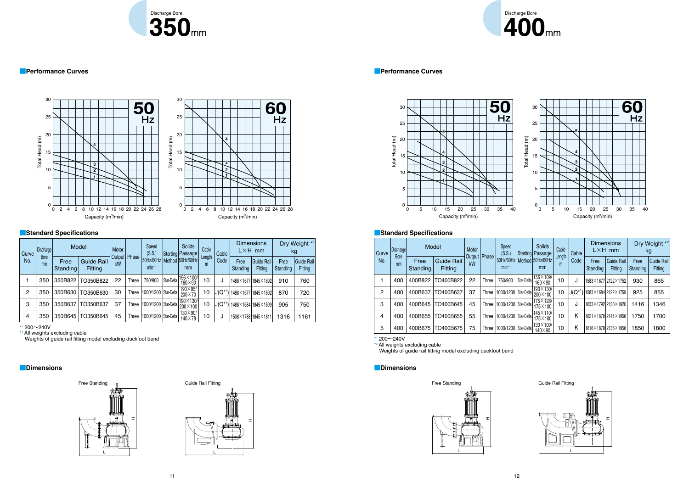

### ■ Performance Curves ■ Performance Curves ■ Performance Curves ■ Performance Curves

## ■**Dimensions** ■**Dimensions**

| Curve | Discharge         |                  | Model                               | Motor |                | Speed<br>(S.S.)                |            | Solids<br>Starting Passage           | Cable       | Cable      |                  | <b>Dimensions</b><br>$L \times H$ mm |                  | Dry Weight *2<br>kg          |
|-------|-------------------|------------------|-------------------------------------|-------|----------------|--------------------------------|------------|--------------------------------------|-------------|------------|------------------|--------------------------------------|------------------|------------------------------|
| No.   | <b>Bore</b><br>mm | Free<br>Standing | <b>Guide Rail</b><br><b>Fitting</b> | kW    | Output   Phase | $min^{-1}$                     |            | 50Hz/60Hz   Method   50Hz/60Hz<br>mm | Length<br>m | Code       | Free<br>Standing | Guide Rail<br>Fitting                | Free<br>Standing | Guide Rail<br><b>Fitting</b> |
|       | 350               | 350B822          | TO350B822                           | 22    | Three          | 750/900                        | Star-Delta | 156×100/<br>$160\times90$            | 10          | J          |                  | 1488×1677 1845×1692                  | 910              | 760                          |
| 2     | 350               | 350B630          | TO350B630                           | 30    | <b>Three</b>   | 1000/1200   Star-Delta         |            | $190\times95/$<br>200×70             | 10          | $J(Q^{*1}$ |                  | 1488×1677 1845×1692                  | 870              | 720                          |
| 3     | 350               | 350B637          | TO350B637                           | 37    |                | Three   1000/1200   Star-Delta |            | 190×130/<br>200×100                  | 10          | $J(Q^{*1}$ |                  | 1488×1684 1845×1699                  | 905              | 750                          |
| 4     | 350               | 350B645          | TO350B645                           | 45    |                | Three   1000/1200   Star-Delta |            | $130\times90/$<br>$140\times78$      | 10          | J          |                  | 1508×1788 1845×1811                  | 1316             | 1161                         |

| kg | Weight $^{\star 2}$   | Curve | Discharge         | Model            |                                     | Motor |                | Speed<br>(S.S.)                                |            | <b>Solids</b><br> Starting Passage  | Cable       | Cable      | <b>Dimensions</b>   | $L \times H$ mm              | kg               | Dry Weight *2         |
|----|-----------------------|-------|-------------------|------------------|-------------------------------------|-------|----------------|------------------------------------------------|------------|-------------------------------------|-------------|------------|---------------------|------------------------------|------------------|-----------------------|
|    | Guide Rail<br>Fitting | No.   | <b>Bore</b><br>mm | Free<br>Standing | <b>Guide Rail</b><br><b>Fitting</b> | kW    | Output   Phase | 50Hz/60Hz   Method   50Hz/60Hz  <br>$min^{-1}$ |            | mm                                  | Length<br>m | Code       | Free<br>Standing    | Guide Rail<br><b>Fitting</b> | Free<br>Standing | Guide Rail<br>Fitting |
|    | 760                   |       | 400               | 400B822          | TO400B822                           | 22    | Three          | 750/900                                        | Star-Delta | $ 156 \times 109$ /<br>160×90       | 10          | J          | 1583×1677 2122×1752 |                              | 930              | 865                   |
|    | 720                   | 2     | 400               | 400B637          | TO400B637                           | 37    | Three          | 1000/1200 Star-Delta                           |            | $ 190\times130/$<br>200×100         | 10          | $J(Q^{*1}$ | 1583×1684 2122×1759 |                              | 925              | 855                   |
|    | 750                   | 3     | 400               | 400B645          | TO400B645                           | 45    | Three          | 1000/1200 Star-Delta                           |            | 175×128/<br>$175\times100$          | 10          | J          | 1633×1792 2130×1920 |                              | 1416             | 1346                  |
|    | 1161                  | 4     | 400               | 400B655          | TO400B655                           | 55    | Three          | 1000/1200   Star-Delta                         |            | $145 \times 110/$<br>$175\times100$ | 10          | K          | 1621×1878 2141×1956 |                              | 1750             | 1700                  |
|    |                       | 5     | 400               | 400B675          | TO400B675                           | 75    | Three          | 1000/1200 Star-Delta                           |            | $ 130\times100/$<br>$140\times90$   | 10          | Κ          | 1616×1878 2136×1956 |                              | 1850             | 1800                  |





# Discharge Bore<br>400mm







60

 $Hz$ 





## ■**Standard Specifications** ■**Standard Specifications**

\* 1 200〜240V

\* 2 All weights excluding cable

Weights of guide rail fitting model excluding duckfoot bend \*

1 200〜240V

\* 2 All weights excluding cable

Weights of guide rail fitting model excluding duckfoot bend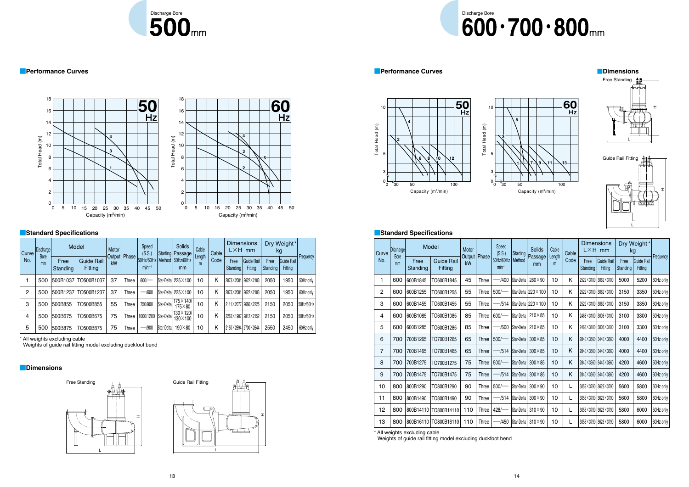



### ■**Dimensions**







| <b>Curve</b> | Discharge         |                  | Model                        | Motor                |              | Speed<br>(S.S.)         |            | <b>Solids</b><br>Starting   Passage | Cable       | Cable |                  | <b>Dimensions</b><br>$L \times H$ mm |                  | Dry Weight*<br>kg            |           |
|--------------|-------------------|------------------|------------------------------|----------------------|--------------|-------------------------|------------|-------------------------------------|-------------|-------|------------------|--------------------------------------|------------------|------------------------------|-----------|
| No.          | <b>Bore</b><br>mm | Free<br>Standing | <b>Guide Rail</b><br>Fitting | Output   Phase<br>kW |              | 50Hz/60Hz<br>$min^{-1}$ |            | Method 50Hz/60Hz<br>mm              | Length<br>m | Code  | Free<br>Standing | Guide Rail<br>Fitting                | Free<br>Standing | <b>Guide Rail</b><br>Fitting | Frequency |
|              | 500               | 500B1037         | TO500B1037                   | 37                   | <b>Three</b> | $600$ /                 |            | Star-Delta   225 × 100              | 10          | Κ     |                  | 2073×2081 2622×2183                  | 2050             | 1950                         | 50Hz only |
| 2            | 500               | 500B1237         | TO500B1237                   | 37                   | <b>Three</b> | -/600                   |            | Star-Delta   225 × 100              | 10          | Κ     |                  | 2073×2081 2622×2183                  | 2050             | 1950                         | 60Hz only |
| 3            | 500               | 500B855          | TO500B855                    | 55                   | <b>Three</b> | 750/900                 | Star-Delta | 175×140/<br>$175\times80$           | 10          | Κ     |                  | 2111×2077 2660×2225                  | 2150             | 2050                         | 50Hz/60Hz |
| 4            | 500               | 500B675          | TO500B675                    | 75                   | <b>Three</b> | 1000/1200               | Star-Delta | 130×120/<br>130×100                 | 10          | Κ     |                  | 2263×1987 2812×2152                  | 2150             | 2050                         | 50Hz/60Hz |
| 5            | 500               | 500B875          | TO500B875                    | 75                   | <b>Three</b> | $-1900$                 | Star-Delta | 190×80                              | 10          | Κ     |                  | 2150×2694 2700×2644                  | 2550             | 2450                         | 60Hz only |

■ Performance Curves ■ Performance Curves ■ Performance Curves ■ Performance Curves ■ Performance Curves ■ Performance Curves ■ Performance Curves ■ Performance Curves ■ Performance Curves ■ Performance Curves ■ Performan



| kg | Weight*               |           | <b>Curve</b> | Discharge         |                  | Model                               | Motor |              | Speed<br>(S.S.)         |                             | Solids                                   | Cable       | Cable | <b>Dimensions</b>   | $L \times H$ mm       | kg               | Dry Weight*                  |           |
|----|-----------------------|-----------|--------------|-------------------|------------------|-------------------------------------|-------|--------------|-------------------------|-----------------------------|------------------------------------------|-------------|-------|---------------------|-----------------------|------------------|------------------------------|-----------|
|    | Guide Rail<br>Fitting | Frequency | No.          | <b>Bore</b><br>mm | Free<br>Standing | <b>Guide Rail</b><br><b>Fitting</b> | kW    | Output Phase | 50Hz/60Hz<br>$min^{-1}$ | Method                      | Starting   Passage  <br>mm               | Length<br>m | Code  | Free<br>Standing    | Guide Rail<br>Fitting | Free<br>Standing | Guide Rail<br><b>Fitting</b> | Frequency |
|    | 1950                  | 50Hz only |              | 600               | 600B1845         | TO600B1845                          | 45    | Three        | $-$ /400                | Star-Delta                  | 280×90                                   | 10          | K.    | 2522×3100 3062×3100 |                       | 5000             | 5200                         | 60Hz only |
|    | 1950                  | 60Hz only | 2            | 600               | 600B1255         | TO600B1255                          | 55    | Three        | $500$ /                 |                             | Star-Delta   220 × 100                   | 10          | K.    | 2522×3100 3062×3100 |                       | 3150             | 3350                         | 50Hz only |
|    | 2050                  | 50Hz/60Hz | 3            | 600               | 600B1455         | TO600B1455                          | 55    | Three        |                         |                             | $-$ /514   Star-Delta   220 $\times$ 100 | 10          | K.    |                     | 2522×3100 3062×3100   | 3150             | 3350                         | 60Hz only |
|    | 2050                  | 50Hz/60Hz | 4            | 600               | 600B1085         | TO600B1085                          | 85    | Three        | $600$ /                 | Star-Delta                  | $210\times85$                            | 10          | K.    |                     | 2468×3100 3008×3100   | 3100             | 3300                         | 50Hz only |
|    | 2450                  | 60Hz only | 5            | 600               | 600B1285         | TO600B1285                          | 85    | Three        |                         | -/600   Star-Delta          | $210\times85$                            | 10          | Κ     | 2468×3100 3008×3100 |                       | 3100             | 3300                         | 60Hz only |
|    |                       |           | 6            | 700               | 700B1265         | TO700B1265                          | 65    | Three        | 500                     | Star-Delta                  | $300\times85$                            | 10          | K.    |                     | 2840×3560 3440×3660   | 4000             | 4400                         | 50Hz only |
|    |                       |           | 7            | 700               | 700B1465         | TO700B1465                          | 65    | <b>Three</b> |                         | $-$ /514 $ Star\$ Delta $ $ | $300\times85$                            | 10          | K.    | 2840×3560 3440×3660 |                       | 4000             | 4400                         | 60Hz only |
|    |                       |           | 8            | 700               | 700B1275         | TO700B1275                          | 75    | <b>Three</b> | $500$ /                 | Star-Delta                  | $300\times85$                            | 10          | K.    | 2840×3560 3440×3660 |                       | 4200             | 4600                         | 50Hz only |
|    |                       |           | 9            | 700               | 700B1475         | TO700B1475                          | 75    | Three        |                         | $-$ /514 $ Star-Delta $     | $300\times85$                            | 10          | Κ     | 2840×3560 3440×3660 |                       | 4200             | 4600                         | 60Hz only |
|    |                       |           | 10           | 800               | 800B1290         | TO800B1290                          | 90    | Three        | $500$ /-                | Star-Delta                  | $300\times90$                            | 10          |       | 3053×3790 3623×3790 |                       | 5600             | 5800                         | 50Hz only |
|    |                       |           | 11           | 800               | 800B1490         | TO800B1490                          | 90    | Three        |                         | -/514   Star-Delta          | $300\times90$                            | 10          |       | 3053×3790 3623×3790 |                       | 5600             | 5800                         | 60Hz only |
|    |                       |           | 12           | 800               |                  | 800B14110   TO800B14110             | 110   | Three        | $428$ /                 | Star-Delta                  | $310\times90$                            | 10          |       | 3053×3790 3623×3790 |                       | 5800             | 6000                         | 50Hz only |
|    |                       |           | 13           | 800               |                  | 800B16110   TO800B16110             | 110   | Three        |                         | -/450   Star-Delta          | $310\times90$                            | 10          |       | 3053×3790 3623×3790 |                       | 5800             | 6000                         | 60Hz only |







**5**



### ■**Standard Specifications** ■**Standard Specifications**

\* All weights excluding cable

Weights of guide rail fitting model excluding duckfoot bend

\* All weights excluding cable

Weights of guide rail fitting model excluding duckfoot bend

## Discharge Bore<br> **COO**. 700. 000